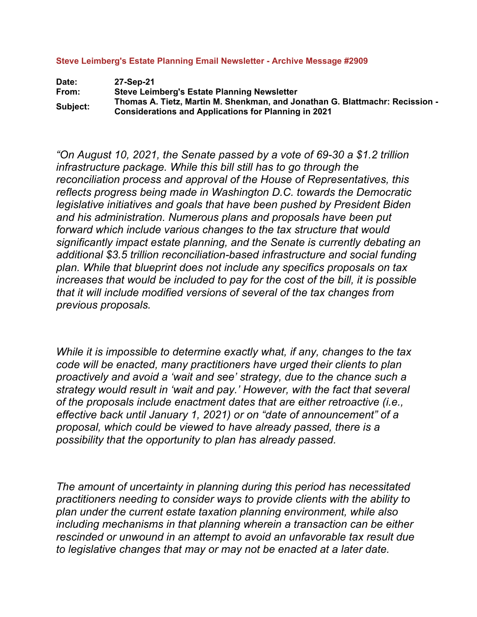**Steve Leimberg's Estate Planning Email Newsletter - Archive Message #2909** 

Date: 27-Sep-21<br>From: Steve Lein **Steve Leimberg's Estate Planning Newsletter Subject: Thomas A. Tietz, Martin M. Shenkman, and Jonathan G. Blattmachr: Recission - Considerations and Applications for Planning in 2021**

*"On August 10, 2021, the Senate passed by a vote of 69-30 a \$1.2 trillion infrastructure package. While this bill still has to go through the reconciliation process and approval of the House of Representatives, this reflects progress being made in Washington D.C. towards the Democratic legislative initiatives and goals that have been pushed by President Biden and his administration. Numerous plans and proposals have been put forward which include various changes to the tax structure that would significantly impact estate planning, and the Senate is currently debating an additional \$3.5 trillion reconciliation-based infrastructure and social funding plan. While that blueprint does not include any specifics proposals on tax increases that would be included to pay for the cost of the bill, it is possible that it will include modified versions of several of the tax changes from previous proposals.*

*While it is impossible to determine exactly what, if any, changes to the tax code will be enacted, many practitioners have urged their clients to plan proactively and avoid a 'wait and see' strategy, due to the chance such a strategy would result in 'wait and pay.' However, with the fact that several of the proposals include enactment dates that are either retroactive (i.e., effective back until January 1, 2021) or on "date of announcement" of a proposal, which could be viewed to have already passed, there is a possibility that the opportunity to plan has already passed.*

*The amount of uncertainty in planning during this period has necessitated practitioners needing to consider ways to provide clients with the ability to plan under the current estate taxation planning environment, while also including mechanisms in that planning wherein a transaction can be either rescinded or unwound in an attempt to avoid an unfavorable tax result due to legislative changes that may or may not be enacted at a later date.*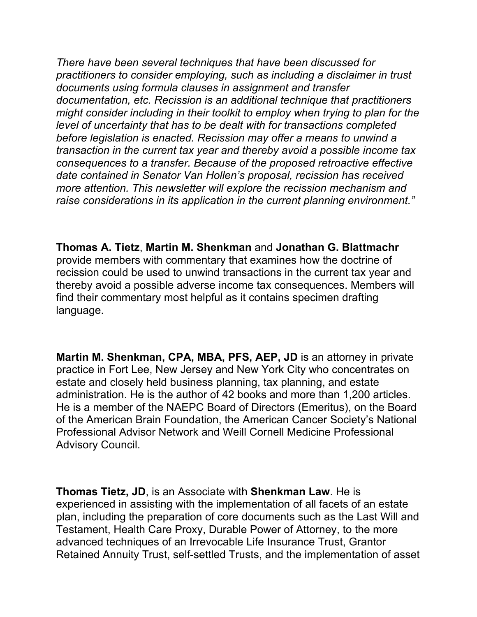*There have been several techniques that have been discussed for practitioners to consider employing, such as including a disclaimer in trust documents using formula clauses in assignment and transfer documentation, etc. Recission is an additional technique that practitioners might consider including in their toolkit to employ when trying to plan for the level of uncertainty that has to be dealt with for transactions completed before legislation is enacted. Recission may offer a means to unwind a transaction in the current tax year and thereby avoid a possible income tax consequences to a transfer. Because of the proposed retroactive effective date contained in Senator Van Hollen's proposal, recission has received more attention. This newsletter will explore the recission mechanism and raise considerations in its application in the current planning environment."*

**Thomas A. Tietz**, **Martin M. Shenkman** and **Jonathan G. Blattmachr**  provide members with commentary that examines how the doctrine of recission could be used to unwind transactions in the current tax year and thereby avoid a possible adverse income tax consequences. Members will find their commentary most helpful as it contains specimen drafting language.

**Martin M. Shenkman, CPA, MBA, PFS, AEP, JD** is an attorney in private practice in Fort Lee, New Jersey and New York City who concentrates on estate and closely held business planning, tax planning, and estate administration. He is the author of 42 books and more than 1,200 articles. He is a member of the NAEPC Board of Directors (Emeritus), on the Board of the American Brain Foundation, the American Cancer Society's National Professional Advisor Network and Weill Cornell Medicine Professional Advisory Council.

**Thomas Tietz, JD**, is an Associate with **Shenkman Law**. He is experienced in assisting with the implementation of all facets of an estate plan, including the preparation of core documents such as the Last Will and Testament, Health Care Proxy, Durable Power of Attorney, to the more advanced techniques of an Irrevocable Life Insurance Trust, Grantor Retained Annuity Trust, self-settled Trusts, and the implementation of asset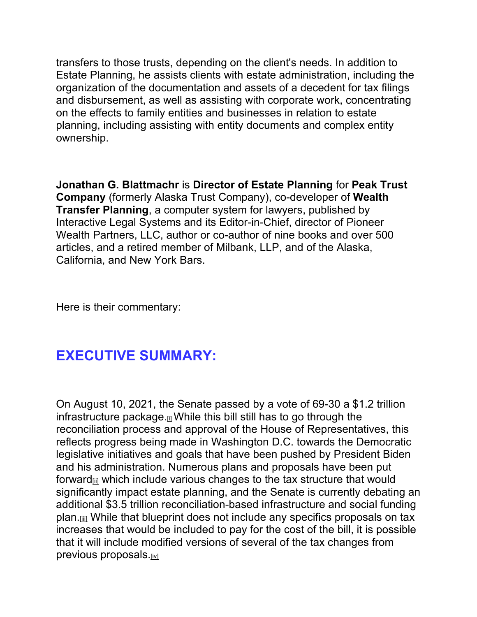transfers to those trusts, depending on the client's needs. In addition to Estate Planning, he assists clients with estate administration, including the organization of the documentation and assets of a decedent for tax filings and disbursement, as well as assisting with corporate work, concentrating on the effects to family entities and businesses in relation to estate planning, including assisting with entity documents and complex entity ownership.

**Jonathan G. Blattmachr** is **Director of Estate Planning** for **Peak Trust Company** (formerly Alaska Trust Company), co-developer of **Wealth Transfer Planning**, a computer system for lawyers, published by Interactive Legal Systems and its Editor-in-Chief, director of Pioneer Wealth Partners, LLC, author or co-author of nine books and over 500 articles, and a retired member of Milbank, LLP, and of the Alaska, California, and New York Bars.

Here is their commentary:

## **EXECUTIVE SUMMARY:**

<span id="page-2-3"></span><span id="page-2-2"></span><span id="page-2-1"></span><span id="page-2-0"></span>On August 10, 2021, the Senate passed by a vote of 69-30 a \$1.2 trillion infrastructure package.<sub>[i]</sub> While this bill still has to go through the reconciliation process and approval of the House of Representatives, this reflects progress being made in Washington D.C. towards the Democratic legislative initiatives and goals that have been pushed by President Biden and his administration. Numerous plans and proposals have been put forward<sub>[ii]</sub> which include various changes to the tax structure that would significantly impact estate planning, and the Senate is currently debating an additional \$3.5 trillion reconciliation-based infrastructure and social funding plan.<sup>[ii]</sup> While that blueprint does not include any specifics proposals on tax increases that would be included to pay for the cost of the bill, it is possible that it will include modified versions of several of the tax changes from previous proposals.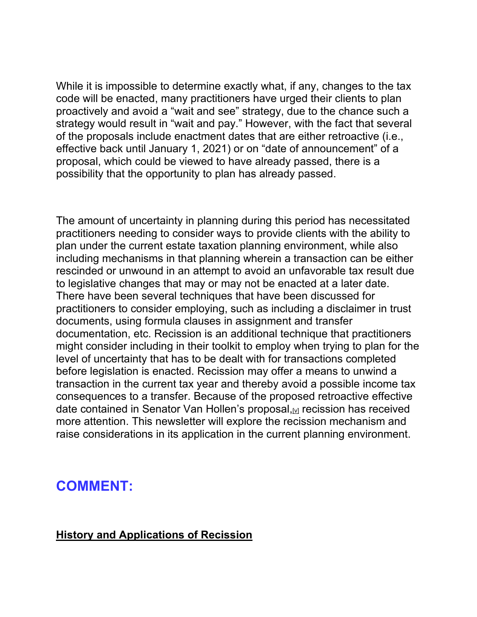While it is impossible to determine exactly what, if any, changes to the tax code will be enacted, many practitioners have urged their clients to plan proactively and avoid a "wait and see" strategy, due to the chance such a strategy would result in "wait and pay." However, with the fact that several of the proposals include enactment dates that are either retroactive (i.e., effective back until January 1, 2021) or on "date of announcement" of a proposal, which could be viewed to have already passed, there is a possibility that the opportunity to plan has already passed.

The amount of uncertainty in planning during this period has necessitated practitioners needing to consider ways to provide clients with the ability to plan under the current estate taxation planning environment, while also including mechanisms in that planning wherein a transaction can be either rescinded or unwound in an attempt to avoid an unfavorable tax result due to legislative changes that may or may not be enacted at a later date. There have been several techniques that have been discussed for practitioners to consider employing, such as including a disclaimer in trust documents, using formula clauses in assignment and transfer documentation, etc. Recission is an additional technique that practitioners might consider including in their toolkit to employ when trying to plan for the level of uncertainty that has to be dealt with for transactions completed before legislation is enacted. Recission may offer a means to unwind a transaction in the current tax year and thereby avoid a possible income tax consequences to a transfer. Because of the proposed retroactive effective date contained in Senator Van Hollen's proposal, M recission has received more attention. This newsletter will explore the recission mechanism and raise considerations in its application in the current planning environment.

### <span id="page-3-0"></span>**COMMENT:**

#### **History and Applications of Recission**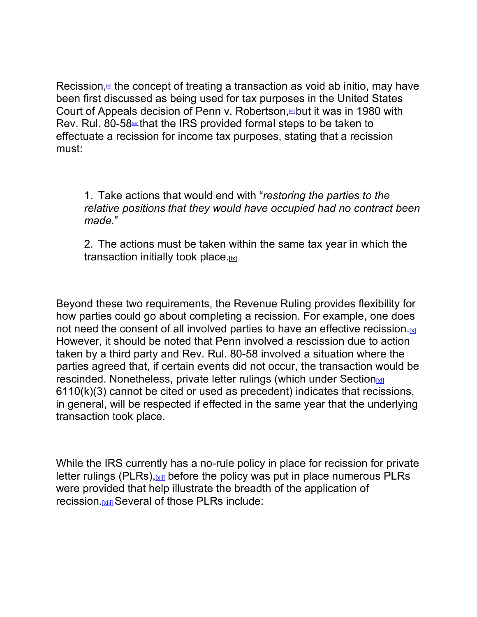<span id="page-4-2"></span><span id="page-4-0"></span>Recission, $\omega$  the concept of treating a transaction as void ab initio, may have been first discussed as being used for tax purposes in the United States Court of Appeals decision of Penn v. Robertson, but it was in 1980 with Rev. Rul. 80-58<sup>th</sup> that the IRS provided formal steps to be taken to effectuate a recission for income tax purposes, stating that a recission must:

<span id="page-4-1"></span>1. Take actions that would end with "*restoring the parties to the relative positions that they would have occupied had no contract been made.*"

<span id="page-4-3"></span>2. The actions must be taken within the same tax year in which the transaction initially took place.

Beyond these two requirements, the Revenue Ruling provides flexibility for how parties could go about completing a recission. For example, one does not need the consent of all involved parties to have an effective recission. $\mathbb{K}$ However, it should be noted that Penn involved a rescission due to action taken by a third party and Rev. Rul. 80-58 involved a situation where the parties agreed that, if certain events did not occur, the transaction would be rescinded. Nonetheless, private letter rulings (which under Section $\frac{x}{1}$ 6110(k)(3) cannot be cited or used as precedent) indicates that recissions, in general, will be respected if effected in the same year that the underlying transaction took place.

While the IRS currently has a no-rule policy in place for recission for private letter rulings (PLRs),  $x_{ij}$  before the policy was put in place numerous PLRs were provided that help illustrate the breadth of the application of recission[.\[xiii\]](#page-14-3) Several of those PLRs include: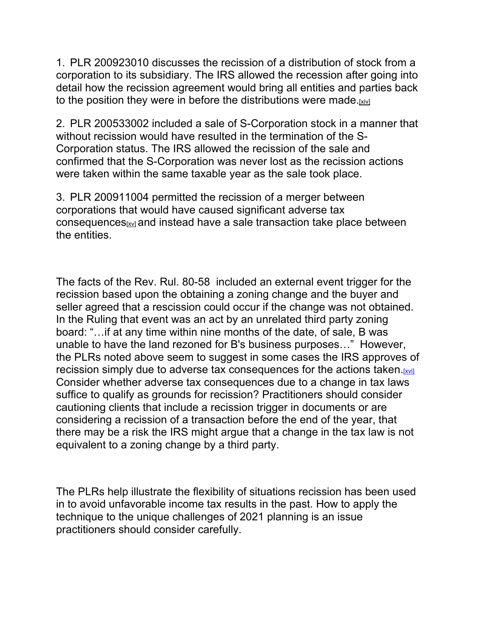1. PLR 200923010 discusses the recission of a distribution of stock from a corporation to its subsidiary. The IRS allowed the recession after going into detail how the recission agreement would bring all entities and parties back to the position they were in before the distributions were made[.\[xiv\]](#page-14-4)

2. PLR 200533002 included a sale of S-Corporation stock in a manner that without recission would have resulted in the termination of the S-Corporation status. The IRS allowed the recission of the sale and confirmed that the S-Corporation was never lost as the recission actions were taken within the same taxable year as the sale took place.

3. PLR 200911004 permitted the recission of a merger between corporations that would have caused significant adverse tax consequence[s\[xv\]](#page-14-5) and instead have a sale transaction take place between the entities.

The facts of the Rev. Rul. 80-58 included an external event trigger for the recission based upon the obtaining a zoning change and the buyer and seller agreed that a rescission could occur if the change was not obtained. In the Ruling that event was an act by an unrelated third party zoning board: "…if at any time within nine months of the date, of sale, B was unable to have the land rezoned for B's business purposes…" However, the PLRs noted above seem to suggest in some cases the IRS approves of recission simply due to adverse tax consequences for the actions taken[.\[xvi\]](#page-15-0) Consider whether adverse tax consequences due to a change in tax laws suffice to qualify as grounds for recission? Practitioners should consider cautioning clients that include a recission trigger in documents or are considering a recission of a transaction before the end of the year, that there may be a risk the IRS might argue that a change in the tax law is not equivalent to a zoning change by a third party.

The PLRs help illustrate the flexibility of situations recission has been used in to avoid unfavorable income tax results in the past. How to apply the technique to the unique challenges of 2021 planning is an issue practitioners should consider carefully.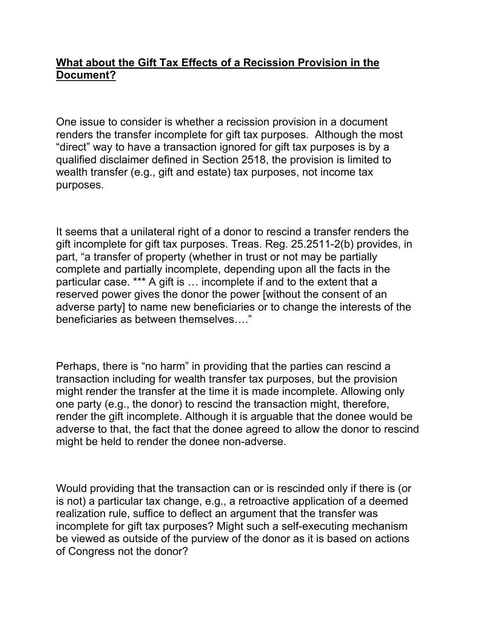#### **What about the Gift Tax Effects of a Recission Provision in the Document?**

One issue to consider is whether a recission provision in a document renders the transfer incomplete for gift tax purposes. Although the most "direct" way to have a transaction ignored for gift tax purposes is by a qualified disclaimer defined in Section 2518, the provision is limited to wealth transfer (e.g., gift and estate) tax purposes, not income tax purposes.

It seems that a unilateral right of a donor to rescind a transfer renders the gift incomplete for gift tax purposes. Treas. Reg. 25.2511-2(b) provides, in part, "a transfer of property (whether in trust or not may be partially complete and partially incomplete, depending upon all the facts in the particular case. \*\*\* A gift is … incomplete if and to the extent that a reserved power gives the donor the power [without the consent of an adverse party] to name new beneficiaries or to change the interests of the beneficiaries as between themselves…."

Perhaps, there is "no harm" in providing that the parties can rescind a transaction including for wealth transfer tax purposes, but the provision might render the transfer at the time it is made incomplete. Allowing only one party (e.g., the donor) to rescind the transaction might, therefore, render the gift incomplete. Although it is arguable that the donee would be adverse to that, the fact that the donee agreed to allow the donor to rescind might be held to render the donee non-adverse.

Would providing that the transaction can or is rescinded only if there is (or is not) a particular tax change, e.g., a retroactive application of a deemed realization rule, suffice to deflect an argument that the transfer was incomplete for gift tax purposes? Might such a self-executing mechanism be viewed as outside of the purview of the donor as it is based on actions of Congress not the donor?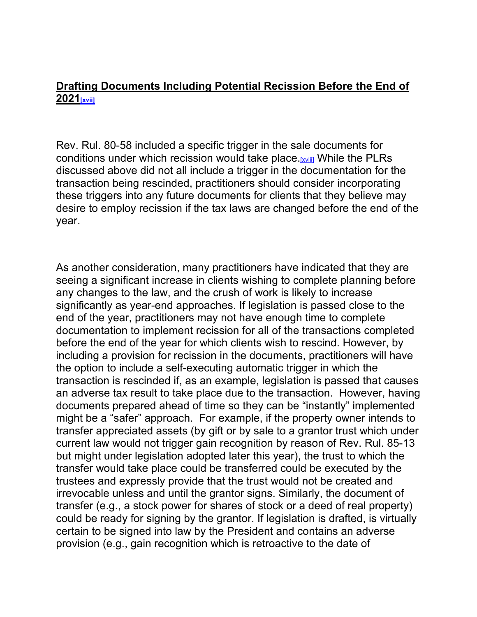#### **Drafting Documents Including Potential Recission Before the End of 202[1\[xvii\]](#page-15-1)**

Rev. Rul. 80-58 included a specific trigger in the sale documents for conditions under which recission would take place[.\[xviii\]](#page-15-2) While the PLRs discussed above did not all include a trigger in the documentation for the transaction being rescinded, practitioners should consider incorporating these triggers into any future documents for clients that they believe may desire to employ recission if the tax laws are changed before the end of the year.

As another consideration, many practitioners have indicated that they are seeing a significant increase in clients wishing to complete planning before any changes to the law, and the crush of work is likely to increase significantly as year-end approaches. If legislation is passed close to the end of the year, practitioners may not have enough time to complete documentation to implement recission for all of the transactions completed before the end of the year for which clients wish to rescind. However, by including a provision for recission in the documents, practitioners will have the option to include a self-executing automatic trigger in which the transaction is rescinded if, as an example, legislation is passed that causes an adverse tax result to take place due to the transaction. However, having documents prepared ahead of time so they can be "instantly" implemented might be a "safer" approach. For example, if the property owner intends to transfer appreciated assets (by gift or by sale to a grantor trust which under current law would not trigger gain recognition by reason of Rev. Rul. 85-13 but might under legislation adopted later this year), the trust to which the transfer would take place could be transferred could be executed by the trustees and expressly provide that the trust would not be created and irrevocable unless and until the grantor signs. Similarly, the document of transfer (e.g., a stock power for shares of stock or a deed of real property) could be ready for signing by the grantor. If legislation is drafted, is virtually certain to be signed into law by the President and contains an adverse provision (e.g., gain recognition which is retroactive to the date of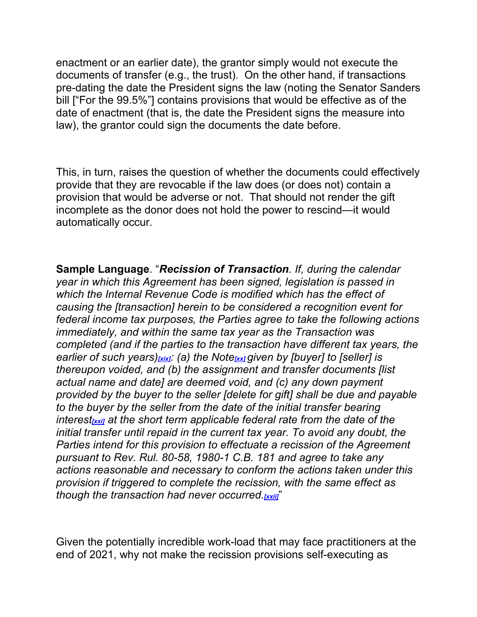enactment or an earlier date), the grantor simply would not execute the documents of transfer (e.g., the trust). On the other hand, if transactions pre-dating the date the President signs the law (noting the Senator Sanders bill ["For the 99.5%"] contains provisions that would be effective as of the date of enactment (that is, the date the President signs the measure into law), the grantor could sign the documents the date before.

This, in turn, raises the question of whether the documents could effectively provide that they are revocable if the law does (or does not) contain a provision that would be adverse or not. That should not render the gift incomplete as the donor does not hold the power to rescind—it would automatically occur.

**Sample Language**. "*Recission of Transaction. If, during the calendar year in which this Agreement has been signed, legislation is passed in which the Internal Revenue Code is modified which has the effect of causing the [transaction] herein to be considered a recognition event for federal income tax purposes, the Parties agree to take the following actions immediately, and within the same tax year as the Transaction was completed (and if the parties to the transaction have different tax years, the earlier of such years)[\[xix\]](#page-15-3): (a) the Note[\[xx\]](#page-15-4) given by [buyer] to [seller] is thereupon voided, and (b) the assignment and transfer documents [list actual name and date] are deemed void, and (c) any down payment provided by the buyer to the seller [delete for gift] shall be due and payable to the buyer by the seller from the date of the initial transfer bearing interest[\[xxi\]](#page-16-0) at the short term applicable federal rate from the date of the initial transfer until repaid in the current tax year. To avoid any doubt, the Parties intend for this provision to effectuate a recission of the Agreement pursuant to Rev. Rul. 80-58, 1980-1 C.B. 181 and agree to take any actions reasonable and necessary to conform the actions taken under this provision if triggered to complete the recission, with the same effect as though the transaction had never occurred.* 

Given the potentially incredible work-load that may face practitioners at the end of 2021, why not make the recission provisions self-executing as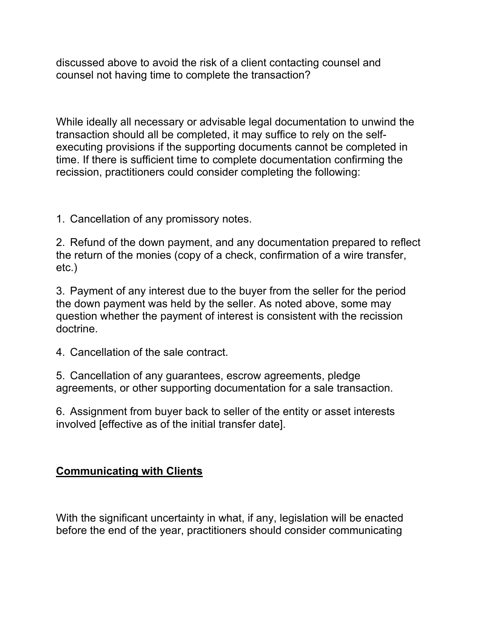discussed above to avoid the risk of a client contacting counsel and counsel not having time to complete the transaction?

While ideally all necessary or advisable legal documentation to unwind the transaction should all be completed, it may suffice to rely on the selfexecuting provisions if the supporting documents cannot be completed in time. If there is sufficient time to complete documentation confirming the recission, practitioners could consider completing the following:

1. Cancellation of any promissory notes.

2. Refund of the down payment, and any documentation prepared to reflect the return of the monies (copy of a check, confirmation of a wire transfer, etc.)

3. Payment of any interest due to the buyer from the seller for the period the down payment was held by the seller. As noted above, some may question whether the payment of interest is consistent with the recission doctrine.

4. Cancellation of the sale contract.

5. Cancellation of any guarantees, escrow agreements, pledge agreements, or other supporting documentation for a sale transaction.

6. Assignment from buyer back to seller of the entity or asset interests involved [effective as of the initial transfer date].

#### **Communicating with Clients**

With the significant uncertainty in what, if any, legislation will be enacted before the end of the year, practitioners should consider communicating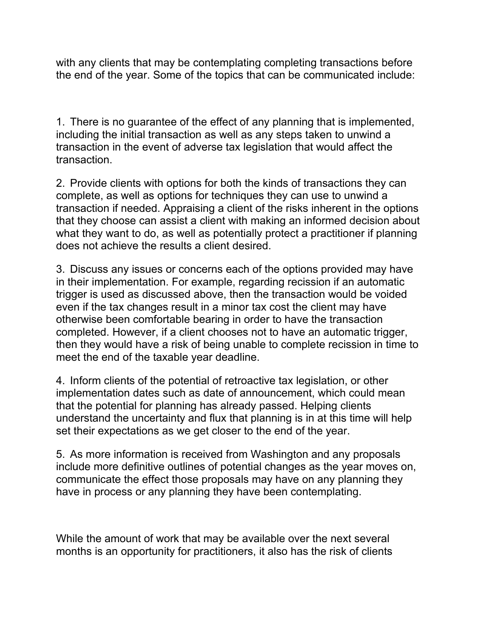with any clients that may be contemplating completing transactions before the end of the year. Some of the topics that can be communicated include:

1. There is no guarantee of the effect of any planning that is implemented, including the initial transaction as well as any steps taken to unwind a transaction in the event of adverse tax legislation that would affect the transaction.

2. Provide clients with options for both the kinds of transactions they can complete, as well as options for techniques they can use to unwind a transaction if needed. Appraising a client of the risks inherent in the options that they choose can assist a client with making an informed decision about what they want to do, as well as potentially protect a practitioner if planning does not achieve the results a client desired.

3. Discuss any issues or concerns each of the options provided may have in their implementation. For example, regarding recission if an automatic trigger is used as discussed above, then the transaction would be voided even if the tax changes result in a minor tax cost the client may have otherwise been comfortable bearing in order to have the transaction completed. However, if a client chooses not to have an automatic trigger, then they would have a risk of being unable to complete recission in time to meet the end of the taxable year deadline.

4. Inform clients of the potential of retroactive tax legislation, or other implementation dates such as date of announcement, which could mean that the potential for planning has already passed. Helping clients understand the uncertainty and flux that planning is in at this time will help set their expectations as we get closer to the end of the year.

5. As more information is received from Washington and any proposals include more definitive outlines of potential changes as the year moves on, communicate the effect those proposals may have on any planning they have in process or any planning they have been contemplating.

While the amount of work that may be available over the next several months is an opportunity for practitioners, it also has the risk of clients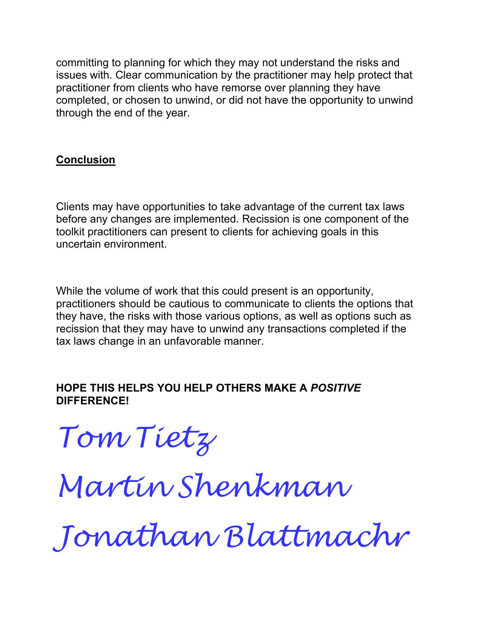committing to planning for which they may not understand the risks and issues with. Clear communication by the practitioner may help protect that practitioner from clients who have remorse over planning they have completed, or chosen to unwind, or did not have the opportunity to unwind through the end of the year.

#### **Conclusion**

Clients may have opportunities to take advantage of the current tax laws before any changes are implemented. Recission is one component of the toolkit practitioners can present to clients for achieving goals in this uncertain environment.

While the volume of work that this could present is an opportunity, practitioners should be cautious to communicate to clients the options that they have, the risks with those various options, as well as options such as recission that they may have to unwind any transactions completed if the tax laws change in an unfavorable manner.

#### **HOPE THIS HELPS YOU HELP OTHERS MAKE A** *POSITIVE*  **DIFFERENCE!**

*Tom Tietz*

*Martin Shenkman*

*Jonathan Blattmachr*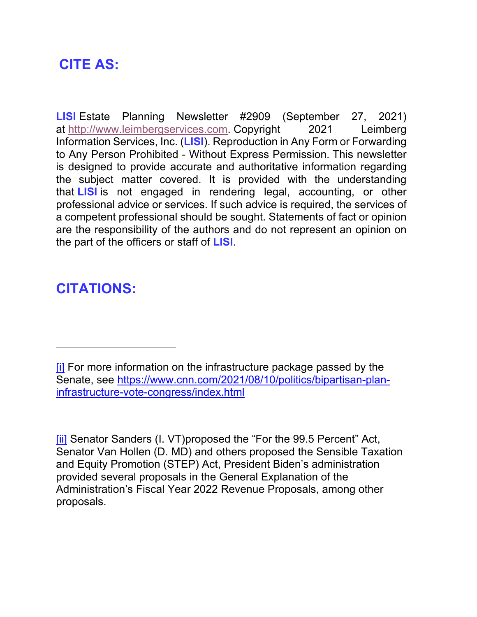## **CITE AS:**

**LISI** Estate Planning Newsletter #2909 (September 27, 2021) at [http://www.leimbergservices.com.](http://www.leimbergservices.com/) Copyright 2021 Leimberg Information Services, Inc. (**LISI**). Reproduction in Any Form or Forwarding to Any Person Prohibited - Without Express Permission. This newsletter is designed to provide accurate and authoritative information regarding the subject matter covered. It is provided with the understanding that **LISI** is not engaged in rendering legal, accounting, or other professional advice or services. If such advice is required, the services of a competent professional should be sought. Statements of fact or opinion are the responsibility of the authors and do not represent an opinion on the part of the officers or staff of **LISI**.

## **CITATIONS:**

<span id="page-12-1"></span>[\[ii\]](#page-2-1) Senator Sanders (I. VT)proposed the "For the 99.5 Percent" Act, Senator Van Hollen (D. MD) and others proposed the Sensible Taxation and Equity Promotion (STEP) Act, President Biden's administration provided several proposals in the General Explanation of the Administration's Fiscal Year 2022 Revenue Proposals, among other proposals.

<span id="page-12-0"></span>[<sup>\[</sup>i\]](#page-2-0) For more information on the infrastructure package passed by the Senate, see [https://www.cnn.com/2021/08/10/politics/bipartisan-plan](https://www.cnn.com/2021/08/10/politics/bipartisan-plan-infrastructure-vote-congress/index.html)[infrastructure-vote-congress/index.html](https://www.cnn.com/2021/08/10/politics/bipartisan-plan-infrastructure-vote-congress/index.html)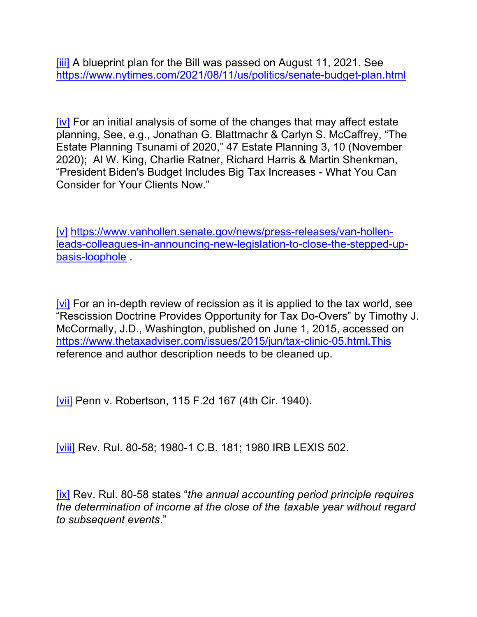<span id="page-13-0"></span>[\[iii\]](#page-2-2) A blueprint plan for the Bill was passed on August 11, 2021. See <https://www.nytimes.com/2021/08/11/us/politics/senate-budget-plan.html>

<span id="page-13-1"></span>[\[iv\]](#page-2-3) For an initial analysis of some of the changes that may affect estate planning, See, e.g., Jonathan G. Blattmachr & Carlyn S. McCaffrey, "The Estate Planning Tsunami of 2020," 47 Estate Planning 3, 10 (November 2020); Al W. King, Charlie Ratner, Richard Harris & Martin Shenkman, "President Biden's Budget Includes Big Tax Increases - What You Can Consider for Your Clients Now."

<span id="page-13-2"></span>[\[v\]](#page-3-0) [https://www.vanhollen.senate.gov/news/press-releases/van-hollen](https://www.vanhollen.senate.gov/news/press-releases/van-hollen-leads-colleagues-in-announcing-new-legislation-to-close-the-stepped-up-basis-loophole)[leads-colleagues-in-announcing-new-legislation-to-close-the-stepped-up](https://www.vanhollen.senate.gov/news/press-releases/van-hollen-leads-colleagues-in-announcing-new-legislation-to-close-the-stepped-up-basis-loophole)[basis-loophole](https://www.vanhollen.senate.gov/news/press-releases/van-hollen-leads-colleagues-in-announcing-new-legislation-to-close-the-stepped-up-basis-loophole) .

<span id="page-13-3"></span>[\[vi\]](#page-4-0) For an in-depth review of recission as it is applied to the tax world, see "Rescission Doctrine Provides Opportunity for Tax Do-Overs" by Timothy J. McCormally, J.D., Washington, published on June 1, 2015, accessed on <https://www.thetaxadviser.com/issues/2015/jun/tax-clinic-05.html.This> reference and author description needs to be cleaned up.

<span id="page-13-4"></span>[\[vii\]](#page-4-1) Penn v. Robertson, 115 F.2d 167 (4th Cir. 1940).

<span id="page-13-5"></span>[\[viii\]](#page-4-2) Rev. Rul. 80-58; 1980-1 C.B. 181; 1980 IRB LEXIS 502.

<span id="page-13-6"></span>[\[ix\]](#page-4-3) Rev. Rul. 80-58 states "*the annual accounting period principle requires the determination of income at the close of the taxable year without regard to subsequent events*."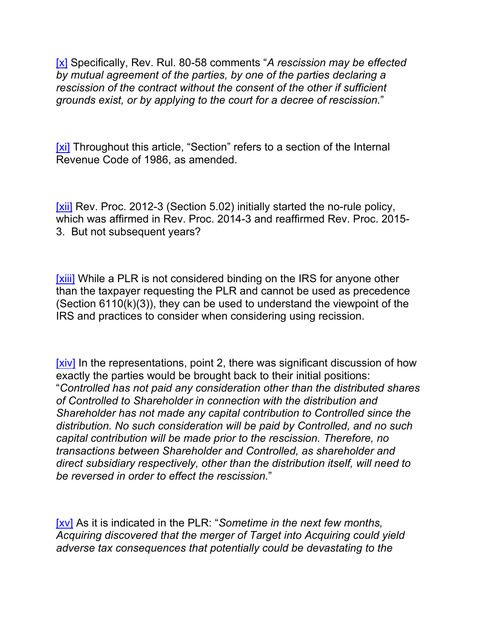<span id="page-14-0"></span>[x] Specifically, Rev. Rul. 80-58 comments "*A rescission may be effected by mutual agreement of the parties, by one of the parties declaring a rescission of the contract without the consent of the other if sufficient grounds exist, or by applying to the court for a decree of rescission.*"

<span id="page-14-1"></span>[xi] Throughout this article, "Section" refers to a section of the Internal Revenue Code of 1986, as amended.

<span id="page-14-2"></span>[xii] Rev. Proc. 2012-3 (Section 5.02) initially started the no-rule policy, which was affirmed in Rev. Proc. 2014-3 and reaffirmed Rev. Proc. 2015- 3. But not subsequent years?

<span id="page-14-3"></span>[xiii] While a PLR is not considered binding on the IRS for anyone other than the taxpayer requesting the PLR and cannot be used as precedence (Section 6110(k)(3)), they can be used to understand the viewpoint of the IRS and practices to consider when considering using recission.

<span id="page-14-4"></span>[xiv] In the representations, point 2, there was significant discussion of how exactly the parties would be brought back to their initial positions: "*Controlled has not paid any consideration other than the distributed shares of Controlled to Shareholder in connection with the distribution and Shareholder has not made any capital contribution to Controlled since the distribution. No such consideration will be paid by Controlled, and no such capital contribution will be made prior to the rescission. Therefore, no transactions between Shareholder and Controlled, as shareholder and direct subsidiary respectively, other than the distribution itself, will need to be reversed in order to effect the rescission.*"

<span id="page-14-5"></span>[xv] As it is indicated in the PLR: "*Sometime in the next few months, Acquiring discovered that the merger of Target into Acquiring could yield adverse tax consequences that potentially could be devastating to the*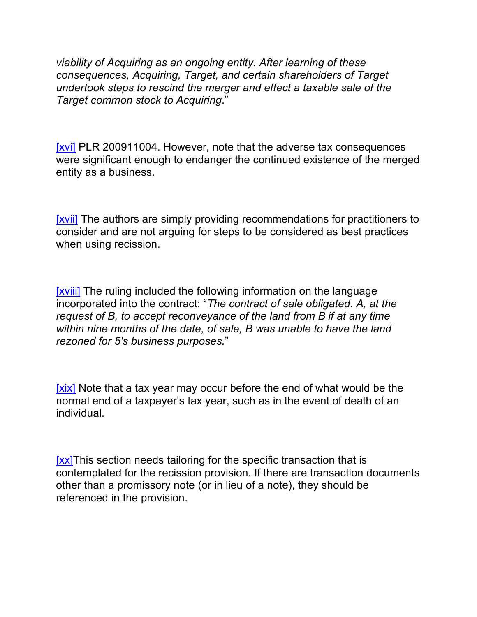*viability of Acquiring as an ongoing entity. After learning of these consequences, Acquiring, Target, and certain shareholders of Target undertook steps to rescind the merger and effect a taxable sale of the Target common stock to Acquiring*."

<span id="page-15-0"></span>[xvi] PLR 200911004. However, note that the adverse tax consequences were significant enough to endanger the continued existence of the merged entity as a business.

<span id="page-15-1"></span>[xvii] The authors are simply providing recommendations for practitioners to consider and are not arguing for steps to be considered as best practices when using recission.

<span id="page-15-2"></span>[xviii] The ruling included the following information on the language incorporated into the contract: "*The contract of sale obligated. A, at the request of B, to accept reconveyance of the land from B if at any time within nine months of the date, of sale, B was unable to have the land rezoned for 5's business purposes.*"

<span id="page-15-3"></span>[xix] Note that a tax year may occur before the end of what would be the normal end of a taxpayer's tax year, such as in the event of death of an individual.

<span id="page-15-4"></span>[xx]This section needs tailoring for the specific transaction that is contemplated for the recission provision. If there are transaction documents other than a promissory note (or in lieu of a note), they should be referenced in the provision.